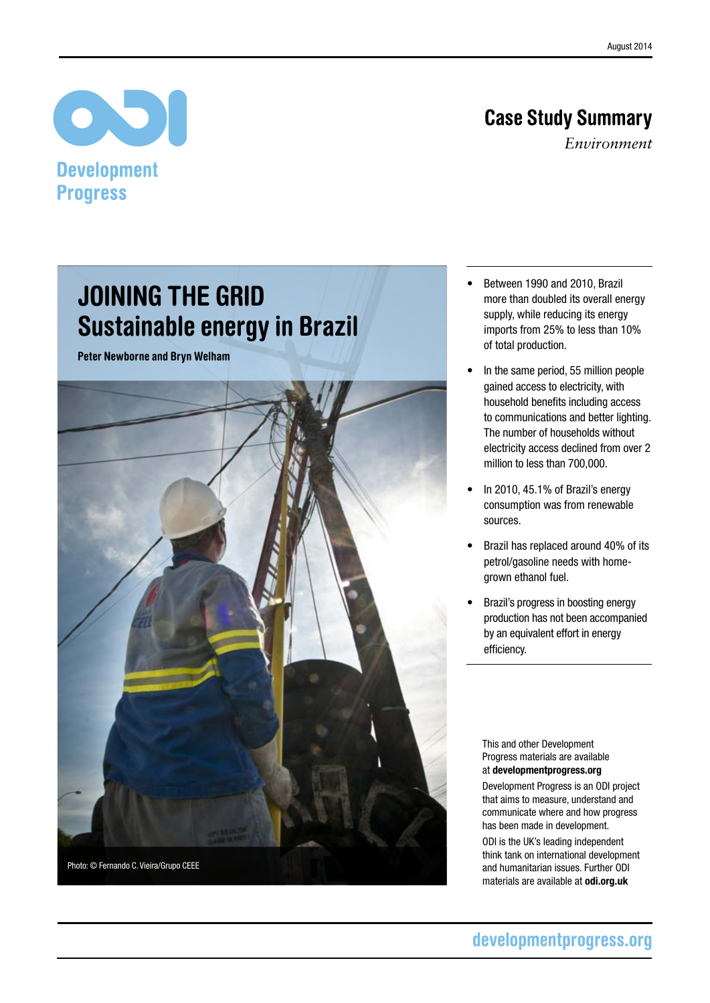# Case Study Summary

*Environment*

# $\bullet$ **Development Progress**

# Joining the grid Sustainable energy in Brazil

Peter Newborne and Bryn Welham



- • Between 1990 and 2010, Brazil more than doubled its overall energy supply, while reducing its energy imports from 25% to less than 10% of total production.
- In the same period, 55 million people gained access to electricity, with household benefits including access to communications and better lighting. The number of households without electricity access declined from over 2 million to less than 700,000.
- In 2010, 45.1% of Brazil's energy consumption was from renewable sources.
- Brazil has replaced around 40% of its petrol/gasoline needs with homegrown ethanol fuel.
- Brazil's progress in boosting energy production has not been accompanied by an equivalent effort in energy efficiency.

This and other Development Progress materials are available at<developmentprogress.org>

Development Progress is an ODI project that aims to measure, understand and communicate where and how progress has been made in development.

ODI is the UK's leading independent think tank on international development and humanitarian issues. Further ODI materials are available at <odi.org.uk>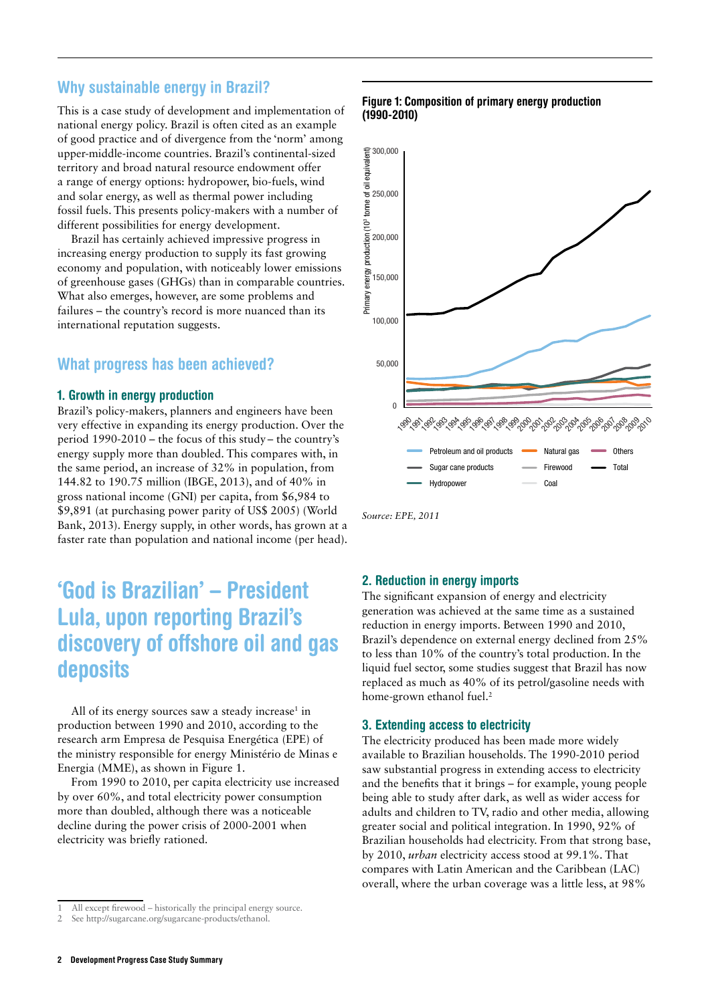## Why sustainable energy in Brazil?

This is a case study of development and implementation of national energy policy. Brazil is often cited as an example of good practice and of divergence from the 'norm' among upper-middle-income countries. Brazil's continental-sized territory and broad natural resource endowment offer a range of energy options: hydropower, bio-fuels, wind and solar energy, as well as thermal power including fossil fuels. This presents policy-makers with a number of different possibilities for energy development.

Brazil has certainly achieved impressive progress in increasing energy production to supply its fast growing economy and population, with noticeably lower emissions of greenhouse gases (GHGs) than in comparable countries. What also emerges, however, are some problems and failures – the country's record is more nuanced than its international reputation suggests.

### What progress has been achieved?

### 1. Growth in energy production

Brazil's policy-makers, planners and engineers have been very effective in expanding its energy production. Over the period 1990-2010 – the focus of this study – the country's energy supply more than doubled. This compares with, in the same period, an increase of 32% in population, from 144.82 to 190.75 million (IBGE, 2013), and of 40% in gross national income (GNI) per capita, from \$6,984 to \$9,891 (at purchasing power parity of US\$ 2005) (World Bank, 2013). Energy supply, in other words, has grown at a faster rate than population and national income (per head).

# 'God is Brazilian' – President Lula, upon reporting Brazil's discovery of offshore oil and gas deposits

All of its energy sources saw a steady increase<sup>1</sup> in production between 1990 and 2010, according to the research arm Empresa de Pesquisa Energética (EPE) of the ministry responsible for energy Ministério de Minas e Energia (MME), as shown in Figure 1.

From 1990 to 2010, per capita electricity use increased by over 60%, and total electricity power consumption more than doubled, although there was a noticeable decline during the power crisis of 2000-2001 when electricity was briefly rationed.

### Figure 1: Composition of primary energy production (1990-2010)



*Source: EPE, 2011*

### 2. Reduction in energy imports

The significant expansion of energy and electricity generation was achieved at the same time as a sustained reduction in energy imports. Between 1990 and 2010, Brazil's dependence on external energy declined from 25% to less than 10% of the country's total production. In the liquid fuel sector, some studies suggest that Brazil has now replaced as much as 40% of its petrol/gasoline needs with home-grown ethanol fuel.<sup>2</sup>

#### 3. Extending access to electricity

The electricity produced has been made more widely available to Brazilian households. The 1990-2010 period saw substantial progress in extending access to electricity and the benefits that it brings – for example, young people being able to study after dark, as well as wider access for adults and children to TV, radio and other media, allowing greater social and political integration. In 1990, 92% of Brazilian households had electricity. From that strong base, by 2010, *urban* electricity access stood at 99.1%. That compares with Latin American and the Caribbean (LAC) overall, where the urban coverage was a little less, at 98%

All except firewood – historically the principal energy source.

See http://sugarcane.org/sugarcane-products/ethanol.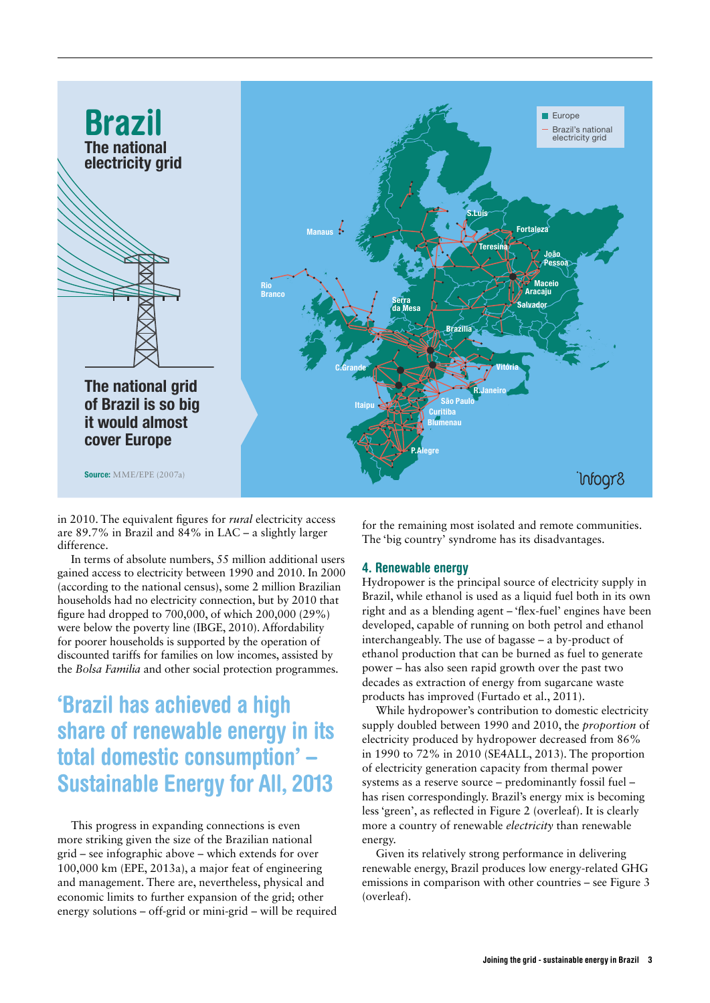

in 2010. The equivalent figures for *rural* electricity access are 89.7% in Brazil and 84% in LAC – a slightly larger difference.

In terms of absolute numbers, 55 million additional users gained access to electricity between 1990 and 2010. In 2000 (according to the national census), some 2 million Brazilian households had no electricity connection, but by 2010 that figure had dropped to 700,000, of which 200,000 (29%) were below the poverty line (IBGE, 2010). Affordability for poorer households is supported by the operation of discounted tariffs for families on low incomes, assisted by the *Bolsa Familia* and other social protection programmes.

# 'Brazil has achieved a high share of renewable energy in its total domestic consumption' – Sustainable Energy for All, 2013

This progress in expanding connections is even more striking given the size of the Brazilian national grid – see infographic above – which extends for over 100,000 km (EPE, 2013a), a major feat of engineering and management. There are, nevertheless, physical and economic limits to further expansion of the grid; other energy solutions – off-grid or mini-grid – will be required for the remaining most isolated and remote communities. The 'big country' syndrome has its disadvantages.

### 4. Renewable energy

Hydropower is the principal source of electricity supply in Brazil, while ethanol is used as a liquid fuel both in its own right and as a blending agent – 'flex-fuel' engines have been developed, capable of running on both petrol and ethanol interchangeably. The use of bagasse – a by-product of ethanol production that can be burned as fuel to generate power – has also seen rapid growth over the past two decades as extraction of energy from sugarcane waste products has improved (Furtado et al., 2011).

While hydropower's contribution to domestic electricity supply doubled between 1990 and 2010, the *proportion* of electricity produced by hydropower decreased from 86% in 1990 to 72% in 2010 (SE4ALL, 2013). The proportion of electricity generation capacity from thermal power systems as a reserve source – predominantly fossil fuel – has risen correspondingly. Brazil's energy mix is becoming less 'green', as reflected in Figure 2 (overleaf). It is clearly more a country of renewable *electricity* than renewable energy.

Given its relatively strong performance in delivering renewable energy, Brazil produces low energy-related GHG emissions in comparison with other countries – see Figure 3 (overleaf).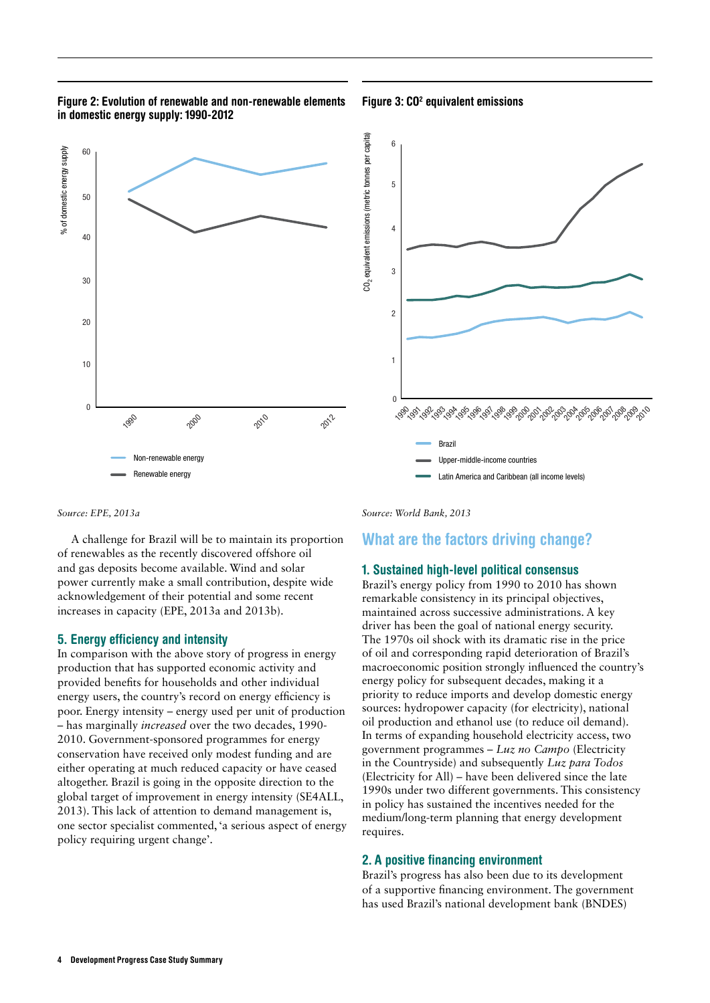### Figure 2: Evolution of renewable and non-renewable elements in domestic energy supply: 1990-2012

#### Figure 3: CO<sup>2</sup> equivalent emissions



*Source: EPE, 2013a*

A challenge for Brazil will be to maintain its proportion of renewables as the recently discovered offshore oil and gas deposits become available. Wind and solar power currently make a small contribution, despite wide acknowledgement of their potential and some recent increases in capacity (EPE, 2013a and 2013b).

#### 5. Energy efficiency and intensity

In comparison with the above story of progress in energy production that has supported economic activity and provided benefits for households and other individual energy users, the country's record on energy efficiency is poor. Energy intensity – energy used per unit of production – has marginally *increased* over the two decades, 1990- 2010. Government-sponsored programmes for energy conservation have received only modest funding and are either operating at much reduced capacity or have ceased altogether. Brazil is going in the opposite direction to the global target of improvement in energy intensity (SE4ALL, 2013). This lack of attention to demand management is, one sector specialist commented, 'a serious aspect of energy policy requiring urgent change'.

*Source: World Bank, 2013*

### What are the factors driving change?

#### 1. Sustained high-level political consensus

Brazil's energy policy from 1990 to 2010 has shown remarkable consistency in its principal objectives, maintained across successive administrations. A key driver has been the goal of national energy security. The 1970s oil shock with its dramatic rise in the price of oil and corresponding rapid deterioration of Brazil's macroeconomic position strongly influenced the country's energy policy for subsequent decades, making it a priority to reduce imports and develop domestic energy sources: hydropower capacity (for electricity), national oil production and ethanol use (to reduce oil demand). In terms of expanding household electricity access, two government programmes – *Luz no Campo* (Electricity in the Countryside) and subsequently *Luz para Todos*  (Electricity for All) – have been delivered since the late 1990s under two different governments. This consistency in policy has sustained the incentives needed for the medium/long-term planning that energy development requires.

### 2. A positive financing environment

Brazil's progress has also been due to its development of a supportive financing environment. The government has used Brazil's national development bank (BNDES)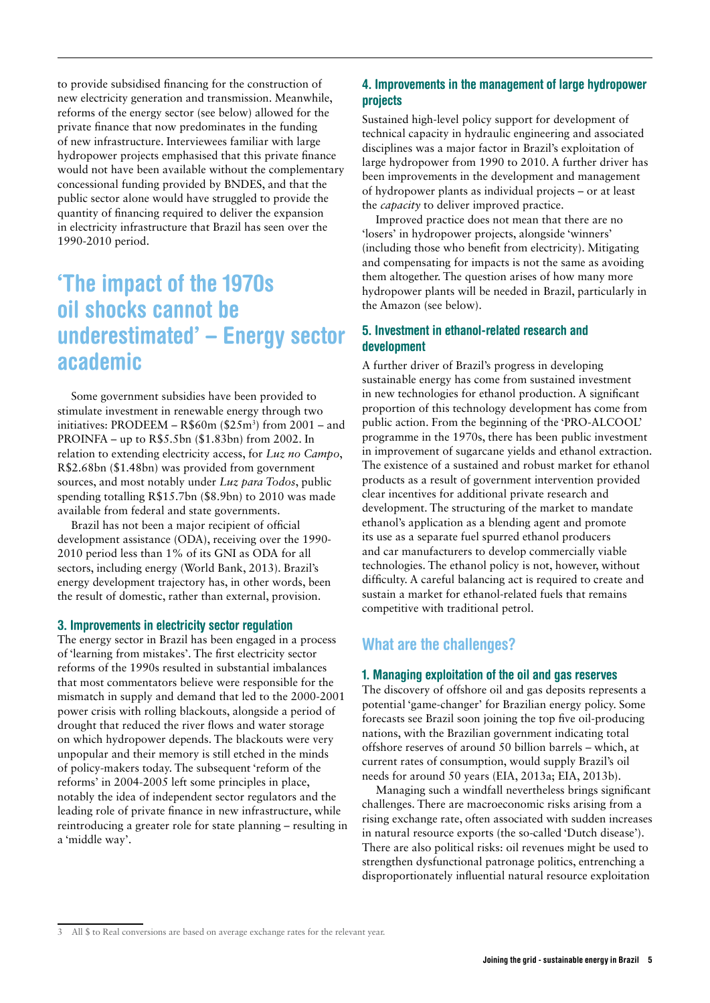to provide subsidised financing for the construction of new electricity generation and transmission. Meanwhile, reforms of the energy sector (see below) allowed for the private finance that now predominates in the funding of new infrastructure. Interviewees familiar with large hydropower projects emphasised that this private finance would not have been available without the complementary concessional funding provided by BNDES, and that the public sector alone would have struggled to provide the quantity of financing required to deliver the expansion in electricity infrastructure that Brazil has seen over the 1990-2010 period.

# 'The impact of the 1970s oil shocks cannot be underestimated' – Energy sector academic

Some government subsidies have been provided to stimulate investment in renewable energy through two initiatives: PRODEEM – R\$60m (\$25m3 ) from 2001 – and PROINFA – up to R\$5.5bn (\$1.83bn) from 2002. In relation to extending electricity access, for *Luz no Campo*, R\$2.68bn (\$1.48bn) was provided from government sources, and most notably under *Luz para Todos*, public spending totalling R\$15.7bn (\$8.9bn) to 2010 was made available from federal and state governments.

Brazil has not been a major recipient of official development assistance (ODA), receiving over the 1990- 2010 period less than 1% of its GNI as ODA for all sectors, including energy (World Bank, 2013). Brazil's energy development trajectory has, in other words, been the result of domestic, rather than external, provision.

#### 3. Improvements in electricity sector regulation

The energy sector in Brazil has been engaged in a process of 'learning from mistakes'. The first electricity sector reforms of the 1990s resulted in substantial imbalances that most commentators believe were responsible for the mismatch in supply and demand that led to the 2000-2001 power crisis with rolling blackouts, alongside a period of drought that reduced the river flows and water storage on which hydropower depends. The blackouts were very unpopular and their memory is still etched in the minds of policy-makers today. The subsequent 'reform of the reforms' in 2004-2005 left some principles in place, notably the idea of independent sector regulators and the leading role of private finance in new infrastructure, while reintroducing a greater role for state planning – resulting in a 'middle way'.

### 4. Improvements in the management of large hydropower projects

Sustained high-level policy support for development of technical capacity in hydraulic engineering and associated disciplines was a major factor in Brazil's exploitation of large hydropower from 1990 to 2010. A further driver has been improvements in the development and management of hydropower plants as individual projects – or at least the *capacity* to deliver improved practice.

Improved practice does not mean that there are no 'losers' in hydropower projects, alongside 'winners' (including those who benefit from electricity). Mitigating and compensating for impacts is not the same as avoiding them altogether. The question arises of how many more hydropower plants will be needed in Brazil, particularly in the Amazon (see below).

### 5. Investment in ethanol-related research and development

A further driver of Brazil's progress in developing sustainable energy has come from sustained investment in new technologies for ethanol production. A significant proportion of this technology development has come from public action. From the beginning of the 'PRO-ALCOOL' programme in the 1970s, there has been public investment in improvement of sugarcane yields and ethanol extraction. The existence of a sustained and robust market for ethanol products as a result of government intervention provided clear incentives for additional private research and development. The structuring of the market to mandate ethanol's application as a blending agent and promote its use as a separate fuel spurred ethanol producers and car manufacturers to develop commercially viable technologies. The ethanol policy is not, however, without difficulty. A careful balancing act is required to create and sustain a market for ethanol-related fuels that remains competitive with traditional petrol.

### What are the challenges?

#### 1. Managing exploitation of the oil and gas reserves

The discovery of offshore oil and gas deposits represents a potential 'game-changer' for Brazilian energy policy. Some forecasts see Brazil soon joining the top five oil-producing nations, with the Brazilian government indicating total offshore reserves of around 50 billion barrels – which, at current rates of consumption, would supply Brazil's oil needs for around 50 years (EIA, 2013a; EIA, 2013b).

Managing such a windfall nevertheless brings significant challenges. There are macroeconomic risks arising from a rising exchange rate, often associated with sudden increases in natural resource exports (the so-called 'Dutch disease'). There are also political risks: oil revenues might be used to strengthen dysfunctional patronage politics, entrenching a disproportionately influential natural resource exploitation

<sup>3</sup> All \$ to Real conversions are based on average exchange rates for the relevant year.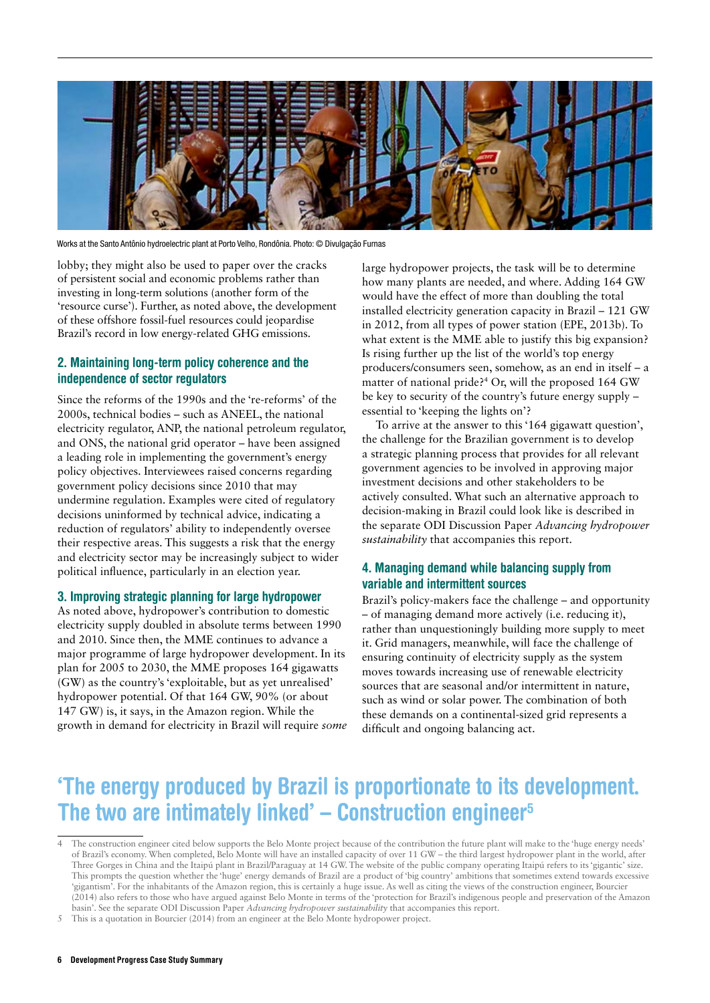

Works at the Santo Antônio hydroelectric plant at Porto Velho, Rondônia. Photo: © Divulgação Furnas

lobby; they might also be used to paper over the cracks of persistent social and economic problems rather than investing in long-term solutions (another form of the 'resource curse'). Further, as noted above, the development of these offshore fossil-fuel resources could jeopardise Brazil's record in low energy-related GHG emissions.

### 2. Maintaining long-term policy coherence and the independence of sector regulators

Since the reforms of the 1990s and the 're-reforms' of the 2000s, technical bodies – such as ANEEL, the national electricity regulator, ANP, the national petroleum regulator, and ONS, the national grid operator – have been assigned a leading role in implementing the government's energy policy objectives. Interviewees raised concerns regarding government policy decisions since 2010 that may undermine regulation. Examples were cited of regulatory decisions uninformed by technical advice, indicating a reduction of regulators' ability to independently oversee their respective areas. This suggests a risk that the energy and electricity sector may be increasingly subject to wider political influence, particularly in an election year.

### 3. Improving strategic planning for large hydropower

As noted above, hydropower's contribution to domestic electricity supply doubled in absolute terms between 1990 and 2010. Since then, the MME continues to advance a major programme of large hydropower development. In its plan for 2005 to 2030, the MME proposes 164 gigawatts (GW) as the country's 'exploitable, but as yet unrealised' hydropower potential. Of that 164 GW, 90% (or about 147 GW) is, it says, in the Amazon region. While the growth in demand for electricity in Brazil will require *some* large hydropower projects, the task will be to determine how many plants are needed, and where. Adding 164 GW would have the effect of more than doubling the total installed electricity generation capacity in Brazil – 121 GW in 2012, from all types of power station (EPE, 2013b). To what extent is the MME able to justify this big expansion? Is rising further up the list of the world's top energy producers/consumers seen, somehow, as an end in itself – a matter of national pride?4 Or, will the proposed 164 GW be key to security of the country's future energy supply – essential to 'keeping the lights on'?

To arrive at the answer to this '164 gigawatt question', the challenge for the Brazilian government is to develop a strategic planning process that provides for all relevant government agencies to be involved in approving major investment decisions and other stakeholders to be actively consulted. What such an alternative approach to decision-making in Brazil could look like is described in the separate ODI Discussion Paper *Advancing hydropower sustainability* that accompanies this report.

### 4. Managing demand while balancing supply from variable and intermittent sources

Brazil's policy-makers face the challenge – and opportunity – of managing demand more actively (i.e. reducing it), rather than unquestioningly building more supply to meet it. Grid managers, meanwhile, will face the challenge of ensuring continuity of electricity supply as the system moves towards increasing use of renewable electricity sources that are seasonal and/or intermittent in nature, such as wind or solar power. The combination of both these demands on a continental-sized grid represents a difficult and ongoing balancing act.

# 'The energy produced by Brazil is proportionate to its development. The two are intimately linked'  $-$  Construction engineer $5$

<sup>4</sup> The construction engineer cited below supports the Belo Monte project because of the contribution the future plant will make to the 'huge energy needs' of Brazil's economy. When completed, Belo Monte will have an installed capacity of over 11 GW – the third largest hydropower plant in the world, after Three Gorges in China and the Itaipú plant in Brazil/Paraguay at 14 GW. The website of the public company operating Itaipú refers to its 'gigantic' size. This prompts the question whether the 'huge' energy demands of Brazil are a product of 'big country' ambitions that sometimes extend towards excessive 'gigantism'. For the inhabitants of the Amazon region, this is certainly a huge issue. As well as citing the views of the construction engineer, Bourcier (2014) also refers to those who have argued against Belo Monte in terms of the 'protection for Brazil's indigenous people and preservation of the Amazon basin'. See the separate ODI Discussion Paper *Advancing hydropower sustainability* that accompanies this report.

This is a quotation in Bourcier (2014) from an engineer at the Belo Monte hydropower project.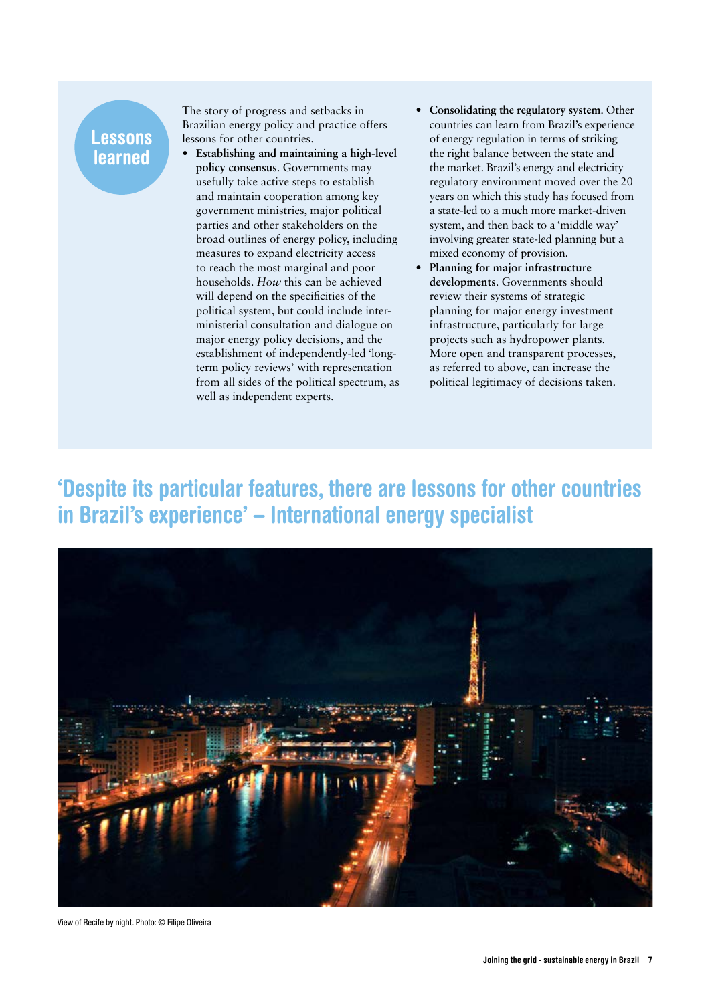# Lessons learned

The story of progress and setbacks in Brazilian energy policy and practice offers lessons for other countries.

- **• Establishing and maintaining a high-level policy consensus**. Governments may usefully take active steps to establish and maintain cooperation among key government ministries, major political parties and other stakeholders on the broad outlines of energy policy, including measures to expand electricity access to reach the most marginal and poor households. *How* this can be achieved will depend on the specificities of the political system, but could include interministerial consultation and dialogue on major energy policy decisions, and the establishment of independently-led 'longterm policy reviews' with representation from all sides of the political spectrum, as well as independent experts.
- **• Consolidating the regulatory system**. Other countries can learn from Brazil's experience of energy regulation in terms of striking the right balance between the state and the market. Brazil's energy and electricity regulatory environment moved over the 20 years on which this study has focused from a state-led to a much more market-driven system, and then back to a 'middle way' involving greater state-led planning but a mixed economy of provision.
- **• Planning for major infrastructure developments**. Governments should review their systems of strategic planning for major energy investment infrastructure, particularly for large projects such as hydropower plants. More open and transparent processes, as referred to above, can increase the political legitimacy of decisions taken.

# 'Despite its particular features, there are lessons for other countries in Brazil's experience' – International energy specialist



View of Recife by night. Photo: © Filipe Oliveira